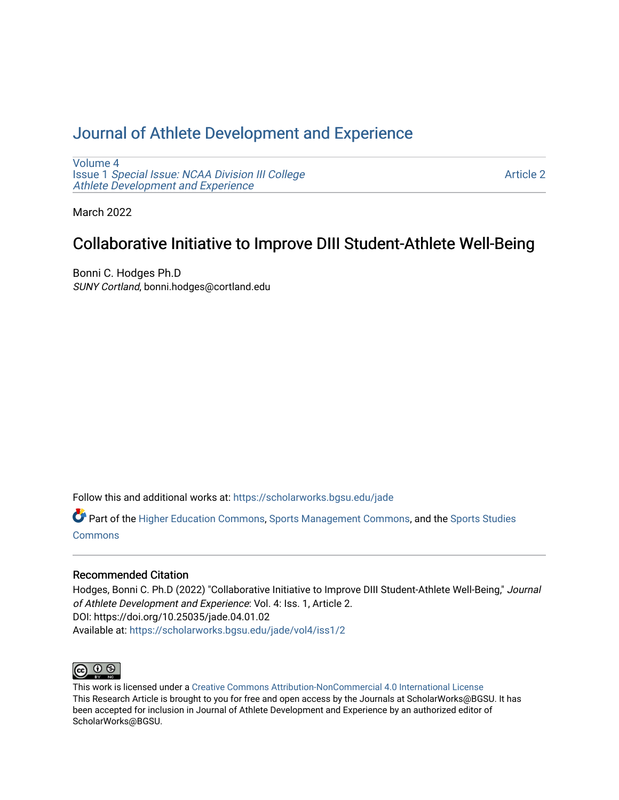## [Journal of Athlete Development and Experience](https://scholarworks.bgsu.edu/jade)

[Volume 4](https://scholarworks.bgsu.edu/jade/vol4) Issue 1 [Special Issue: NCAA Division III College](https://scholarworks.bgsu.edu/jade/vol4/iss1) [Athlete Development and Experience](https://scholarworks.bgsu.edu/jade/vol4/iss1) 

[Article 2](https://scholarworks.bgsu.edu/jade/vol4/iss1/2) 

March 2022

# Collaborative Initiative to Improve DIII Student-Athlete Well-Being

Bonni C. Hodges Ph.D SUNY Cortland, bonni.hodges@cortland.edu

Follow this and additional works at: [https://scholarworks.bgsu.edu/jade](https://scholarworks.bgsu.edu/jade?utm_source=scholarworks.bgsu.edu%2Fjade%2Fvol4%2Fiss1%2F2&utm_medium=PDF&utm_campaign=PDFCoverPages) 

Part of the [Higher Education Commons,](http://network.bepress.com/hgg/discipline/1245?utm_source=scholarworks.bgsu.edu%2Fjade%2Fvol4%2Fiss1%2F2&utm_medium=PDF&utm_campaign=PDFCoverPages) [Sports Management Commons,](http://network.bepress.com/hgg/discipline/1193?utm_source=scholarworks.bgsu.edu%2Fjade%2Fvol4%2Fiss1%2F2&utm_medium=PDF&utm_campaign=PDFCoverPages) and the [Sports Studies](http://network.bepress.com/hgg/discipline/1198?utm_source=scholarworks.bgsu.edu%2Fjade%2Fvol4%2Fiss1%2F2&utm_medium=PDF&utm_campaign=PDFCoverPages)  **[Commons](http://network.bepress.com/hgg/discipline/1198?utm_source=scholarworks.bgsu.edu%2Fjade%2Fvol4%2Fiss1%2F2&utm_medium=PDF&utm_campaign=PDFCoverPages)** 

## Recommended Citation

Hodges, Bonni C. Ph.D (2022) "Collaborative Initiative to Improve DIII Student-Athlete Well-Being," Journal of Athlete Development and Experience: Vol. 4: Iss. 1, Article 2. DOI: https://doi.org/10.25035/jade.04.01.02 Available at: [https://scholarworks.bgsu.edu/jade/vol4/iss1/2](https://scholarworks.bgsu.edu/jade/vol4/iss1/2?utm_source=scholarworks.bgsu.edu%2Fjade%2Fvol4%2Fiss1%2F2&utm_medium=PDF&utm_campaign=PDFCoverPages) 



This work is licensed under a [Creative Commons Attribution-NonCommercial 4.0 International License](https://creativecommons.org/licenses/by-nc/4.0/) This Research Article is brought to you for free and open access by the Journals at ScholarWorks@BGSU. It has been accepted for inclusion in Journal of Athlete Development and Experience by an authorized editor of ScholarWorks@BGSU.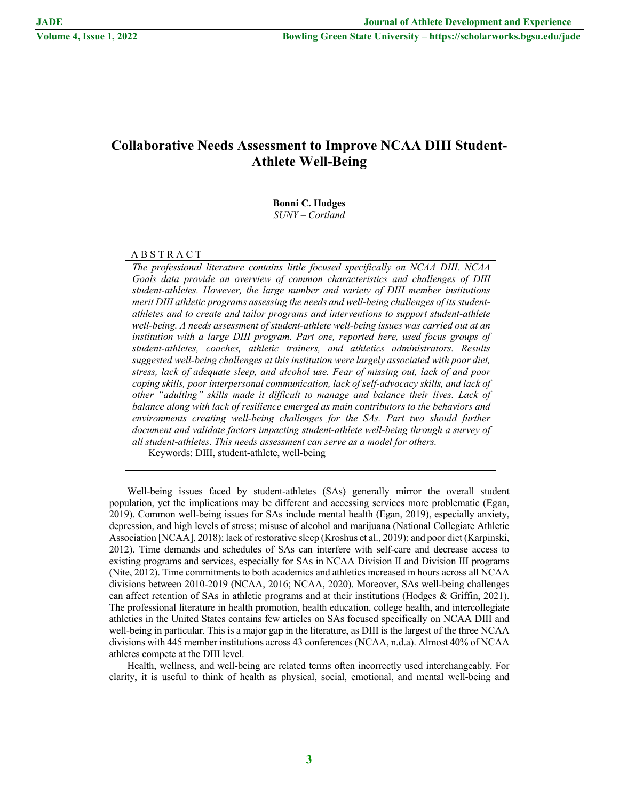## **Collaborative Needs Assessment to Improve NCAA DIII Student-Athlete Well-Being**

## **Bonni C. Hodges** *SUNY – Cortland*

A B S T R A C T

*The professional literature contains little focused specifically on NCAA DIII. NCAA Goals data provide an overview of common characteristics and challenges of DIII student-athletes. However, the large number and variety of DIII member institutions merit DIII athletic programs assessing the needs and well-being challenges of its studentathletes and to create and tailor programs and interventions to support student-athlete well-being. A needs assessment of student-athlete well-being issues was carried out at an institution with a large DIII program. Part one, reported here, used focus groups of student-athletes, coaches, athletic trainers, and athletics administrators. Results suggested well-being challenges at this institution were largely associated with poor diet, stress, lack of adequate sleep, and alcohol use. Fear of missing out, lack of and poor coping skills, poor interpersonal communication, lack of self-advocacy skills, and lack of other "adulting" skills made it difficult to manage and balance their lives. Lack of balance along with lack of resilience emerged as main contributors to the behaviors and environments creating well-being challenges for the SAs. Part two should further document and validate factors impacting student-athlete well-being through a survey of all student-athletes. This needs assessment can serve as a model for others.*

Keywords: DIII, student-athlete, well-being

Well-being issues faced by student-athletes (SAs) generally mirror the overall student population, yet the implications may be different and accessing services more problematic (Egan, 2019). Common well-being issues for SAs include mental health (Egan, 2019), especially anxiety, depression, and high levels of stress; misuse of alcohol and marijuana (National Collegiate Athletic Association [NCAA], 2018); lack of restorative sleep (Kroshus et al., 2019); and poor diet (Karpinski, 2012). Time demands and schedules of SAs can interfere with self-care and decrease access to existing programs and services, especially for SAs in NCAA Division II and Division III programs (Nite, 2012). Time commitments to both academics and athletics increased in hours across all NCAA divisions between 2010-2019 (NCAA, 2016; NCAA, 2020). Moreover, SAs well-being challenges can affect retention of SAs in athletic programs and at their institutions (Hodges & Griffin, 2021). The professional literature in health promotion, health education, college health, and intercollegiate athletics in the United States contains few articles on SAs focused specifically on NCAA DIII and well-being in particular. This is a major gap in the literature, as DIII is the largest of the three NCAA divisions with 445 member institutions across 43 conferences (NCAA, n.d.a). Almost 40% of NCAA athletes compete at the DIII level.

Health, wellness, and well-being are related terms often incorrectly used interchangeably. For clarity, it is useful to think of health as physical, social, emotional, and mental well-being and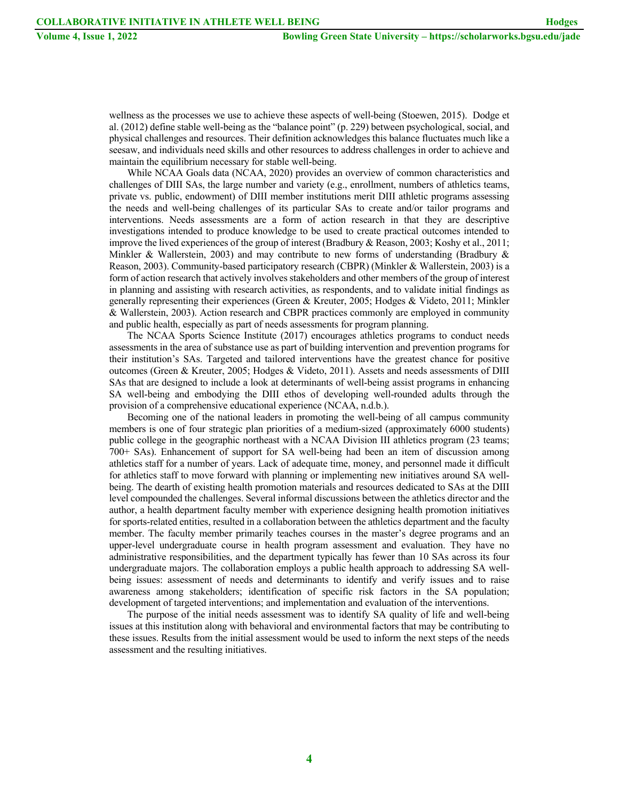wellness as the processes we use to achieve these aspects of well-being (Stoewen, 2015). Dodge et al. (2012) define stable well-being as the "balance point" (p. 229) between psychological, social, and physical challenges and resources. Their definition acknowledges this balance fluctuates much like a seesaw, and individuals need skills and other resources to address challenges in order to achieve and maintain the equilibrium necessary for stable well-being.

While NCAA Goals data (NCAA, 2020) provides an overview of common characteristics and challenges of DIII SAs, the large number and variety (e.g., enrollment, numbers of athletics teams, private vs. public, endowment) of DIII member institutions merit DIII athletic programs assessing the needs and well-being challenges of its particular SAs to create and/or tailor programs and interventions. Needs assessments are a form of action research in that they are descriptive investigations intended to produce knowledge to be used to create practical outcomes intended to improve the lived experiences of the group of interest (Bradbury & Reason, 2003; Koshy et al., 2011; Minkler & Wallerstein, 2003) and may contribute to new forms of understanding (Bradbury & Reason, 2003). Community-based participatory research (CBPR) (Minkler & Wallerstein, 2003) is a form of action research that actively involves stakeholders and other members of the group of interest in planning and assisting with research activities, as respondents, and to validate initial findings as generally representing their experiences (Green & Kreuter, 2005; Hodges & Videto, 2011; Minkler & Wallerstein, 2003). Action research and CBPR practices commonly are employed in community and public health, especially as part of needs assessments for program planning.

The NCAA Sports Science Institute (2017) encourages athletics programs to conduct needs assessments in the area of substance use as part of building intervention and prevention programs for their institution's SAs. Targeted and tailored interventions have the greatest chance for positive outcomes (Green & Kreuter, 2005; Hodges & Videto, 2011). Assets and needs assessments of DIII SAs that are designed to include a look at determinants of well-being assist programs in enhancing SA well-being and embodying the DIII ethos of developing well-rounded adults through the provision of a comprehensive educational experience (NCAA, n.d.b.).

Becoming one of the national leaders in promoting the well-being of all campus community members is one of four strategic plan priorities of a medium-sized (approximately 6000 students) public college in the geographic northeast with a NCAA Division III athletics program (23 teams; 700+ SAs). Enhancement of support for SA well-being had been an item of discussion among athletics staff for a number of years. Lack of adequate time, money, and personnel made it difficult for athletics staff to move forward with planning or implementing new initiatives around SA wellbeing. The dearth of existing health promotion materials and resources dedicated to SAs at the DIII level compounded the challenges. Several informal discussions between the athletics director and the author, a health department faculty member with experience designing health promotion initiatives for sports-related entities, resulted in a collaboration between the athletics department and the faculty member. The faculty member primarily teaches courses in the master's degree programs and an upper-level undergraduate course in health program assessment and evaluation. They have no administrative responsibilities, and the department typically has fewer than 10 SAs across its four undergraduate majors. The collaboration employs a public health approach to addressing SA wellbeing issues: assessment of needs and determinants to identify and verify issues and to raise awareness among stakeholders; identification of specific risk factors in the SA population; development of targeted interventions; and implementation and evaluation of the interventions.

The purpose of the initial needs assessment was to identify SA quality of life and well-being issues at this institution along with behavioral and environmental factors that may be contributing to these issues. Results from the initial assessment would be used to inform the next steps of the needs assessment and the resulting initiatives.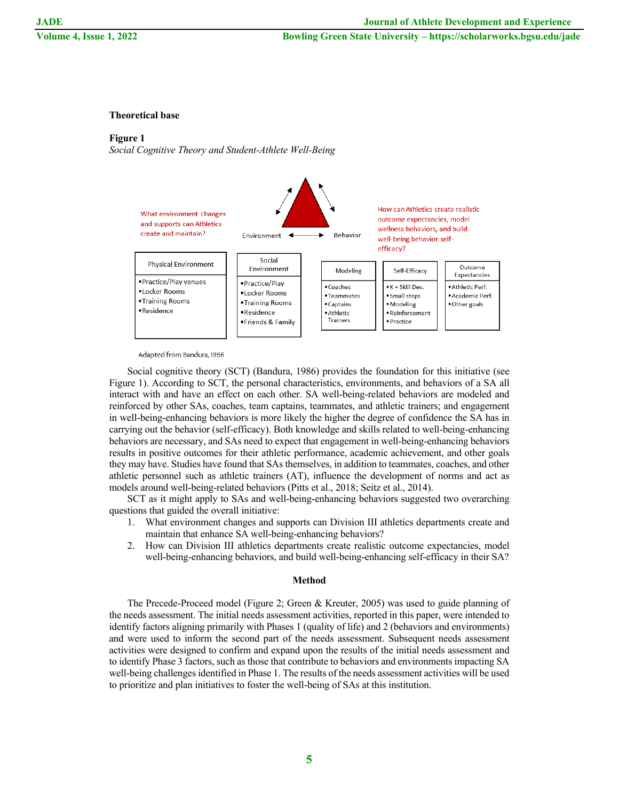## **Theoretical base**

## **Figure 1**

*Social Cognitive Theory and Student-Athlete Well-Being*



Adapted from Bandura, 1986

Social cognitive theory (SCT) (Bandura, 1986) provides the foundation for this initiative (see Figure 1). According to SCT, the personal characteristics, environments, and behaviors of a SA all interact with and have an effect on each other. SA well-being-related behaviors are modeled and reinforced by other SAs, coaches, team captains, teammates, and athletic trainers; and engagement in well-being-enhancing behaviors is more likely the higher the degree of confidence the SA has in carrying out the behavior (self-efficacy). Both knowledge and skills related to well-being-enhancing behaviors are necessary, and SAs need to expect that engagement in well-being-enhancing behaviors results in positive outcomes for their athletic performance, academic achievement, and other goals they may have. Studies have found that SAs themselves, in addition to teammates, coaches, and other athletic personnel such as athletic trainers (AT), influence the development of norms and act as models around well-being-related behaviors (Pitts et al., 2018; Seitz et al., 2014).

SCT as it might apply to SAs and well-being-enhancing behaviors suggested two overarching questions that guided the overall initiative:

- 1. What environment changes and supports can Division III athletics departments create and maintain that enhance SA well-being-enhancing behaviors?
- 2. How can Division III athletics departments create realistic outcome expectancies, model well-being-enhancing behaviors, and build well-being-enhancing self-efficacy in their SA?

#### **Method**

The Precede-Proceed model (Figure 2; Green & Kreuter, 2005) was used to guide planning of the needs assessment. The initial needs assessment activities, reported in this paper, were intended to identify factors aligning primarily with Phases 1 (quality of life) and 2 (behaviors and environments) and were used to inform the second part of the needs assessment. Subsequent needs assessment activities were designed to confirm and expand upon the results of the initial needs assessment and to identify Phase 3 factors, such as those that contribute to behaviors and environments impacting SA well-being challenges identified in Phase 1. The results of the needs assessment activities will be used to prioritize and plan initiatives to foster the well-being of SAs at this institution.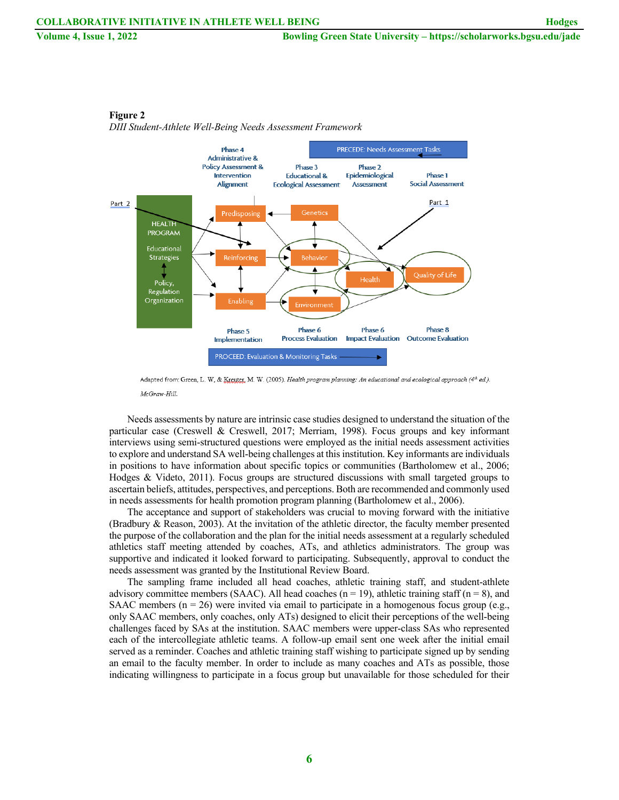

**Figure 2**

*DIII Student-Athlete Well-Being Needs Assessment Framework*

Adapted from: Green, L. W, & Kreyter, M. W. (2005). Health program planning: An educational and ecological approach (4th ed.). McGraw-Hill.

Needs assessments by nature are intrinsic case studies designed to understand the situation of the particular case (Creswell & Creswell, 2017; Merriam, 1998). Focus groups and key informant interviews using semi-structured questions were employed as the initial needs assessment activities to explore and understand SA well-being challenges at this institution. Key informants are individuals in positions to have information about specific topics or communities (Bartholomew et al., 2006; Hodges & Videto, 2011). Focus groups are structured discussions with small targeted groups to ascertain beliefs, attitudes, perspectives, and perceptions. Both are recommended and commonly used in needs assessments for health promotion program planning (Bartholomew et al., 2006).

The acceptance and support of stakeholders was crucial to moving forward with the initiative (Bradbury & Reason, 2003). At the invitation of the athletic director, the faculty member presented the purpose of the collaboration and the plan for the initial needs assessment at a regularly scheduled athletics staff meeting attended by coaches, ATs, and athletics administrators. The group was supportive and indicated it looked forward to participating. Subsequently, approval to conduct the needs assessment was granted by the Institutional Review Board.

The sampling frame included all head coaches, athletic training staff, and student-athlete advisory committee members (SAAC). All head coaches ( $n = 19$ ), athletic training staff ( $n = 8$ ), and SAAC members ( $n = 26$ ) were invited via email to participate in a homogenous focus group (e.g., only SAAC members, only coaches, only ATs) designed to elicit their perceptions of the well-being challenges faced by SAs at the institution. SAAC members were upper-class SAs who represented each of the intercollegiate athletic teams. A follow-up email sent one week after the initial email served as a reminder. Coaches and athletic training staff wishing to participate signed up by sending an email to the faculty member. In order to include as many coaches and ATs as possible, those indicating willingness to participate in a focus group but unavailable for those scheduled for their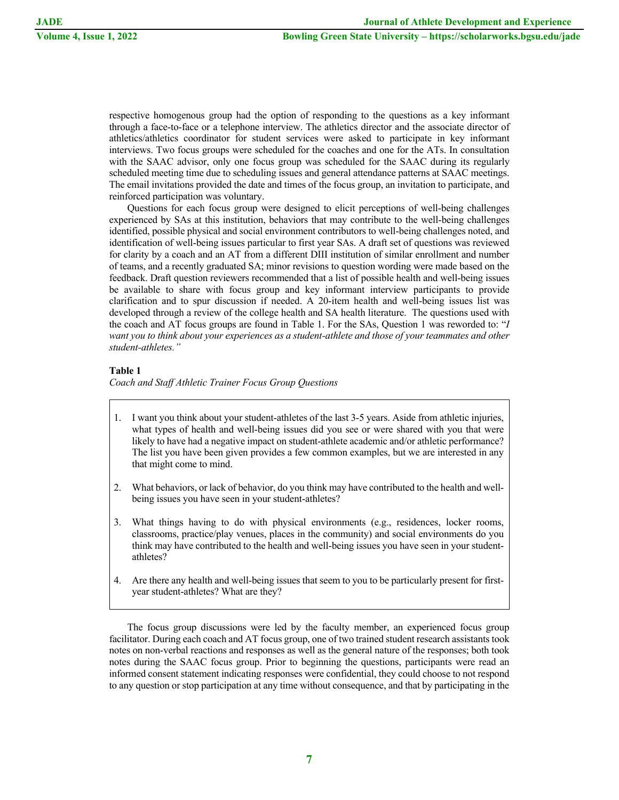respective homogenous group had the option of responding to the questions as a key informant through a face-to-face or a telephone interview. The athletics director and the associate director of athletics/athletics coordinator for student services were asked to participate in key informant interviews. Two focus groups were scheduled for the coaches and one for the ATs. In consultation with the SAAC advisor, only one focus group was scheduled for the SAAC during its regularly scheduled meeting time due to scheduling issues and general attendance patterns at SAAC meetings. The email invitations provided the date and times of the focus group, an invitation to participate, and reinforced participation was voluntary.

Questions for each focus group were designed to elicit perceptions of well-being challenges experienced by SAs at this institution, behaviors that may contribute to the well-being challenges identified, possible physical and social environment contributors to well-being challenges noted, and identification of well-being issues particular to first year SAs. A draft set of questions was reviewed for clarity by a coach and an AT from a different DIII institution of similar enrollment and number of teams, and a recently graduated SA; minor revisions to question wording were made based on the feedback. Draft question reviewers recommended that a list of possible health and well-being issues be available to share with focus group and key informant interview participants to provide clarification and to spur discussion if needed. A 20-item health and well-being issues list was developed through a review of the college health and SA health literature. The questions used with the coach and AT focus groups are found in Table 1. For the SAs, Question 1 was reworded to: "*I want you to think about your experiences as a student-athlete and those of your teammates and other student-athletes."*

## **Table 1**

*Coach and Staff Athletic Trainer Focus Group Questions*

- 1. I want you think about your student-athletes of the last 3-5 years. Aside from athletic injuries, what types of health and well-being issues did you see or were shared with you that were likely to have had a negative impact on student-athlete academic and/or athletic performance? The list you have been given provides a few common examples, but we are interested in any that might come to mind.
- 2. What behaviors, or lack of behavior, do you think may have contributed to the health and wellbeing issues you have seen in your student-athletes?
- 3. What things having to do with physical environments (e.g., residences, locker rooms, classrooms, practice/play venues, places in the community) and social environments do you think may have contributed to the health and well-being issues you have seen in your studentathletes?
- 4. Are there any health and well-being issues that seem to you to be particularly present for firstyear student-athletes? What are they?

The focus group discussions were led by the faculty member, an experienced focus group facilitator. During each coach and AT focus group, one of two trained student research assistants took notes on non-verbal reactions and responses as well as the general nature of the responses; both took notes during the SAAC focus group. Prior to beginning the questions, participants were read an informed consent statement indicating responses were confidential, they could choose to not respond to any question or stop participation at any time without consequence, and that by participating in the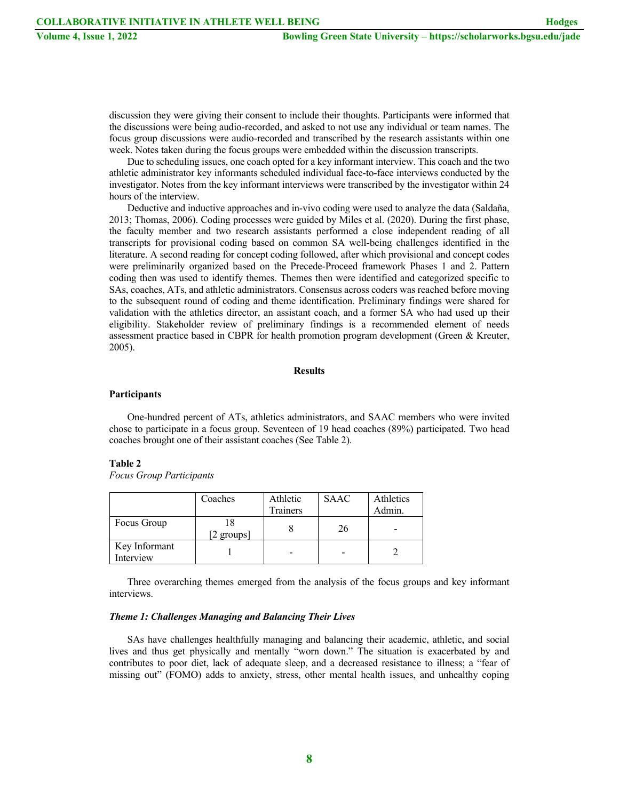discussion they were giving their consent to include their thoughts. Participants were informed that the discussions were being audio-recorded, and asked to not use any individual or team names. The focus group discussions were audio-recorded and transcribed by the research assistants within one week. Notes taken during the focus groups were embedded within the discussion transcripts.

Due to scheduling issues, one coach opted for a key informant interview. This coach and the two athletic administrator key informants scheduled individual face-to-face interviews conducted by the investigator. Notes from the key informant interviews were transcribed by the investigator within 24 hours of the interview.

Deductive and inductive approaches and in-vivo coding were used to analyze the data (Saldaña, 2013; Thomas, 2006). Coding processes were guided by Miles et al. (2020). During the first phase, the faculty member and two research assistants performed a close independent reading of all transcripts for provisional coding based on common SA well-being challenges identified in the literature. A second reading for concept coding followed, after which provisional and concept codes were preliminarily organized based on the Precede-Proceed framework Phases 1 and 2. Pattern coding then was used to identify themes. Themes then were identified and categorized specific to SAs, coaches, ATs, and athletic administrators. Consensus across coders was reached before moving to the subsequent round of coding and theme identification. Preliminary findings were shared for validation with the athletics director, an assistant coach, and a former SA who had used up their eligibility. Stakeholder review of preliminary findings is a recommended element of needs assessment practice based in CBPR for health promotion program development (Green & Kreuter, 2005).

### **Results**

#### **Participants**

One-hundred percent of ATs, athletics administrators, and SAAC members who were invited chose to participate in a focus group. Seventeen of 19 head coaches (89%) participated. Two head coaches brought one of their assistant coaches (See Table 2).

#### **Table 2**

*Focus Group Participants*

|                            | Coaches    | Athletic<br><b>Trainers</b> | <b>SAAC</b> | Athletics<br>Admin. |
|----------------------------|------------|-----------------------------|-------------|---------------------|
| Focus Group                |            |                             | 26          |                     |
|                            | [2 groups] |                             |             |                     |
| Key Informant<br>Interview |            |                             |             |                     |

Three overarching themes emerged from the analysis of the focus groups and key informant interviews.

## *Theme 1: Challenges Managing and Balancing Their Lives*

SAs have challenges healthfully managing and balancing their academic, athletic, and social lives and thus get physically and mentally "worn down." The situation is exacerbated by and contributes to poor diet, lack of adequate sleep, and a decreased resistance to illness; a "fear of missing out" (FOMO) adds to anxiety, stress, other mental health issues, and unhealthy coping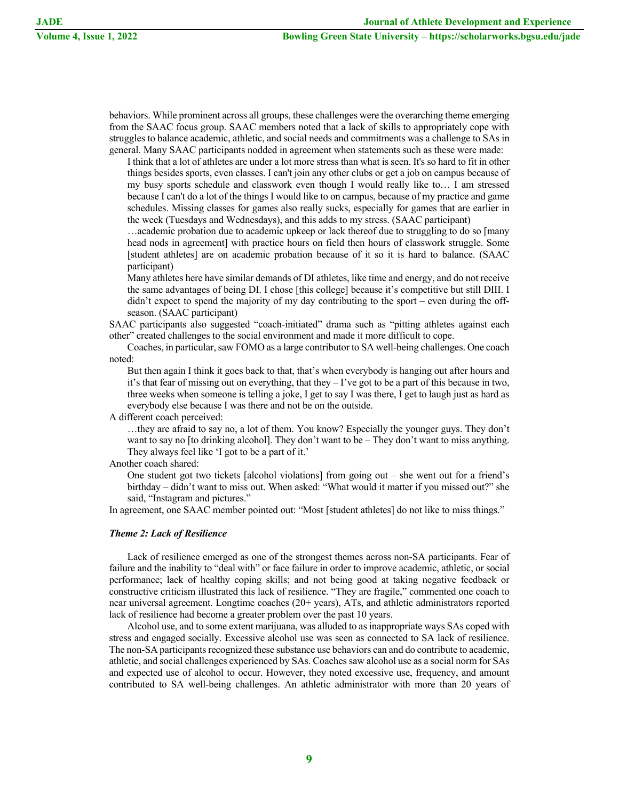**Volume 4, Issue 1, 2022 Bowling Green State University – https://scholarworks.bgsu.edu/jade**

behaviors. While prominent across all groups, these challenges were the overarching theme emerging from the SAAC focus group. SAAC members noted that a lack of skills to appropriately cope with struggles to balance academic, athletic, and social needs and commitments was a challenge to SAs in general. Many SAAC participants nodded in agreement when statements such as these were made:

I think that a lot of athletes are under a lot more stress than what is seen. It's so hard to fit in other things besides sports, even classes. I can't join any other clubs or get a job on campus because of my busy sports schedule and classwork even though I would really like to… I am stressed because I can't do a lot of the things I would like to on campus, because of my practice and game schedules. Missing classes for games also really sucks, especially for games that are earlier in the week (Tuesdays and Wednesdays), and this adds to my stress. (SAAC participant)

…academic probation due to academic upkeep or lack thereof due to struggling to do so [many head nods in agreement] with practice hours on field then hours of classwork struggle. Some [student athletes] are on academic probation because of it so it is hard to balance. (SAAC participant)

Many athletes here have similar demands of DI athletes, like time and energy, and do not receive the same advantages of being DI. I chose [this college] because it's competitive but still DIII. I didn't expect to spend the majority of my day contributing to the sport – even during the offseason. (SAAC participant)

SAAC participants also suggested "coach-initiated" drama such as "pitting athletes against each other" created challenges to the social environment and made it more difficult to cope.

Coaches, in particular, saw FOMO as a large contributor to SA well-being challenges. One coach noted:

But then again I think it goes back to that, that's when everybody is hanging out after hours and it's that fear of missing out on everything, that they – I've got to be a part of this because in two, three weeks when someone is telling a joke, I get to say I was there, I get to laugh just as hard as everybody else because I was there and not be on the outside.

A different coach perceived:

…they are afraid to say no, a lot of them. You know? Especially the younger guys. They don't want to say no [to drinking alcohol]. They don't want to be – They don't want to miss anything. They always feel like 'I got to be a part of it.'

Another coach shared:

One student got two tickets [alcohol violations] from going out – she went out for a friend's birthday – didn't want to miss out. When asked: "What would it matter if you missed out?" she said, "Instagram and pictures."

In agreement, one SAAC member pointed out: "Most [student athletes] do not like to miss things."

## *Theme 2: Lack of Resilience*

Lack of resilience emerged as one of the strongest themes across non-SA participants. Fear of failure and the inability to "deal with" or face failure in order to improve academic, athletic, or social performance; lack of healthy coping skills; and not being good at taking negative feedback or constructive criticism illustrated this lack of resilience. "They are fragile," commented one coach to near universal agreement. Longtime coaches (20+ years), ATs, and athletic administrators reported lack of resilience had become a greater problem over the past 10 years.

Alcohol use, and to some extent marijuana, was alluded to as inappropriate ways SAs coped with stress and engaged socially. Excessive alcohol use was seen as connected to SA lack of resilience. The non-SA participants recognized these substance use behaviors can and do contribute to academic, athletic, and social challenges experienced by SAs. Coaches saw alcohol use as a social norm for SAs and expected use of alcohol to occur. However, they noted excessive use, frequency, and amount contributed to SA well-being challenges. An athletic administrator with more than 20 years of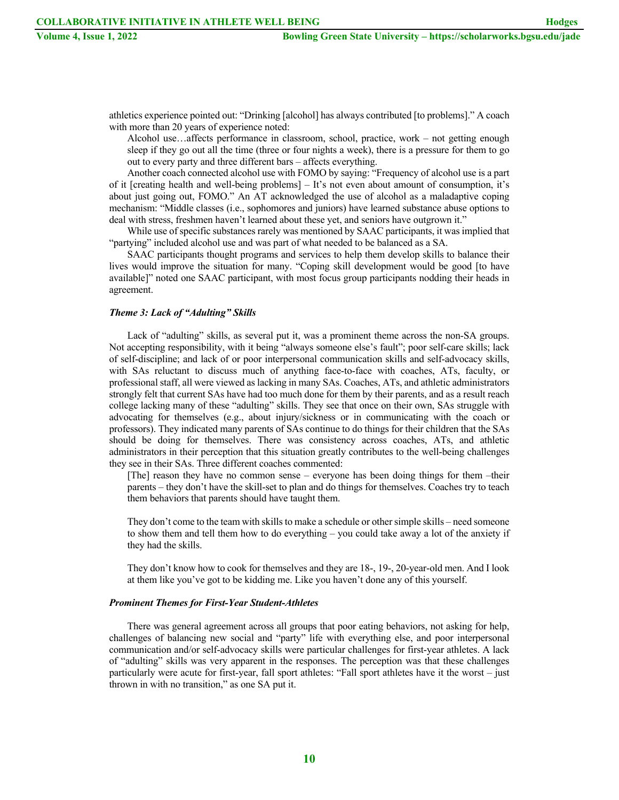athletics experience pointed out: "Drinking [alcohol] has always contributed [to problems]." A coach with more than 20 years of experience noted:

Alcohol use…affects performance in classroom, school, practice, work – not getting enough sleep if they go out all the time (three or four nights a week), there is a pressure for them to go out to every party and three different bars – affects everything.

Another coach connected alcohol use with FOMO by saying: "Frequency of alcohol use is a part of it [creating health and well-being problems] – It's not even about amount of consumption, it's about just going out, FOMO." An AT acknowledged the use of alcohol as a maladaptive coping mechanism: "Middle classes (i.e., sophomores and juniors) have learned substance abuse options to deal with stress, freshmen haven't learned about these yet, and seniors have outgrown it."

While use of specific substances rarely was mentioned by SAAC participants, it was implied that "partying" included alcohol use and was part of what needed to be balanced as a SA.

SAAC participants thought programs and services to help them develop skills to balance their lives would improve the situation for many. "Coping skill development would be good [to have available]" noted one SAAC participant, with most focus group participants nodding their heads in agreement.

## *Theme 3: Lack of "Adulting" Skills*

Lack of "adulting" skills, as several put it, was a prominent theme across the non-SA groups. Not accepting responsibility, with it being "always someone else's fault"; poor self-care skills; lack of self-discipline; and lack of or poor interpersonal communication skills and self-advocacy skills, with SAs reluctant to discuss much of anything face-to-face with coaches, ATs, faculty, or professional staff, all were viewed as lacking in many SAs. Coaches, ATs, and athletic administrators strongly felt that current SAs have had too much done for them by their parents, and as a result reach college lacking many of these "adulting" skills. They see that once on their own, SAs struggle with advocating for themselves (e.g., about injury/sickness or in communicating with the coach or professors). They indicated many parents of SAs continue to do things for their children that the SAs should be doing for themselves. There was consistency across coaches, ATs, and athletic administrators in their perception that this situation greatly contributes to the well-being challenges they see in their SAs. Three different coaches commented:

[The] reason they have no common sense – everyone has been doing things for them –their parents – they don't have the skill-set to plan and do things for themselves. Coaches try to teach them behaviors that parents should have taught them.

They don't come to the team with skills to make a schedule or other simple skills – need someone to show them and tell them how to do everything – you could take away a lot of the anxiety if they had the skills.

They don't know how to cook for themselves and they are 18-, 19-, 20-year-old men. And I look at them like you've got to be kidding me. Like you haven't done any of this yourself.

#### *Prominent Themes for First-Year Student-Athletes*

There was general agreement across all groups that poor eating behaviors, not asking for help, challenges of balancing new social and "party" life with everything else, and poor interpersonal communication and/or self-advocacy skills were particular challenges for first-year athletes. A lack of "adulting" skills was very apparent in the responses. The perception was that these challenges particularly were acute for first-year, fall sport athletes: "Fall sport athletes have it the worst – just thrown in with no transition," as one SA put it.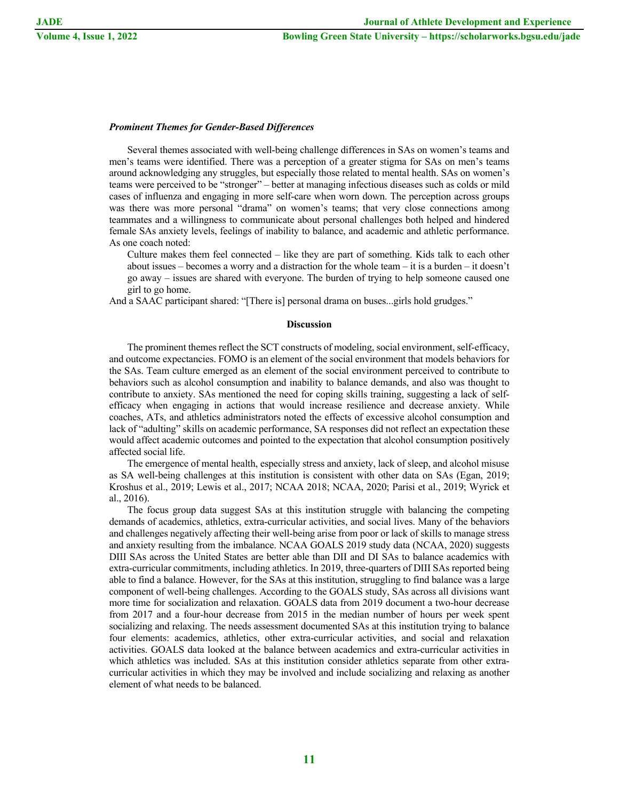## *Prominent Themes for Gender-Based Differences*

Several themes associated with well-being challenge differences in SAs on women's teams and men's teams were identified. There was a perception of a greater stigma for SAs on men's teams around acknowledging any struggles, but especially those related to mental health. SAs on women's teams were perceived to be "stronger" – better at managing infectious diseases such as colds or mild cases of influenza and engaging in more self-care when worn down. The perception across groups was there was more personal "drama" on women's teams; that very close connections among teammates and a willingness to communicate about personal challenges both helped and hindered female SAs anxiety levels, feelings of inability to balance, and academic and athletic performance. As one coach noted:

Culture makes them feel connected – like they are part of something. Kids talk to each other about issues – becomes a worry and a distraction for the whole team – it is a burden – it doesn't go away – issues are shared with everyone. The burden of trying to help someone caused one girl to go home.

And a SAAC participant shared: "[There is] personal drama on buses...girls hold grudges."

#### **Discussion**

The prominent themes reflect the SCT constructs of modeling, social environment, self-efficacy, and outcome expectancies. FOMO is an element of the social environment that models behaviors for the SAs. Team culture emerged as an element of the social environment perceived to contribute to behaviors such as alcohol consumption and inability to balance demands, and also was thought to contribute to anxiety. SAs mentioned the need for coping skills training, suggesting a lack of selfefficacy when engaging in actions that would increase resilience and decrease anxiety. While coaches, ATs, and athletics administrators noted the effects of excessive alcohol consumption and lack of "adulting" skills on academic performance, SA responses did not reflect an expectation these would affect academic outcomes and pointed to the expectation that alcohol consumption positively affected social life.

The emergence of mental health, especially stress and anxiety, lack of sleep, and alcohol misuse as SA well-being challenges at this institution is consistent with other data on SAs (Egan, 2019; Kroshus et al., 2019; Lewis et al., 2017; NCAA 2018; NCAA, 2020; Parisi et al., 2019; Wyrick et al., 2016).

The focus group data suggest SAs at this institution struggle with balancing the competing demands of academics, athletics, extra-curricular activities, and social lives. Many of the behaviors and challenges negatively affecting their well-being arise from poor or lack of skills to manage stress and anxiety resulting from the imbalance. NCAA GOALS 2019 study data (NCAA, 2020) suggests DIII SAs across the United States are better able than DII and DI SAs to balance academics with extra-curricular commitments, including athletics. In 2019, three-quarters of DIII SAs reported being able to find a balance. However, for the SAs at this institution, struggling to find balance was a large component of well-being challenges. According to the GOALS study, SAs across all divisions want more time for socialization and relaxation. GOALS data from 2019 document a two-hour decrease from 2017 and a four-hour decrease from 2015 in the median number of hours per week spent socializing and relaxing. The needs assessment documented SAs at this institution trying to balance four elements: academics, athletics, other extra-curricular activities, and social and relaxation activities. GOALS data looked at the balance between academics and extra-curricular activities in which athletics was included. SAs at this institution consider athletics separate from other extracurricular activities in which they may be involved and include socializing and relaxing as another element of what needs to be balanced.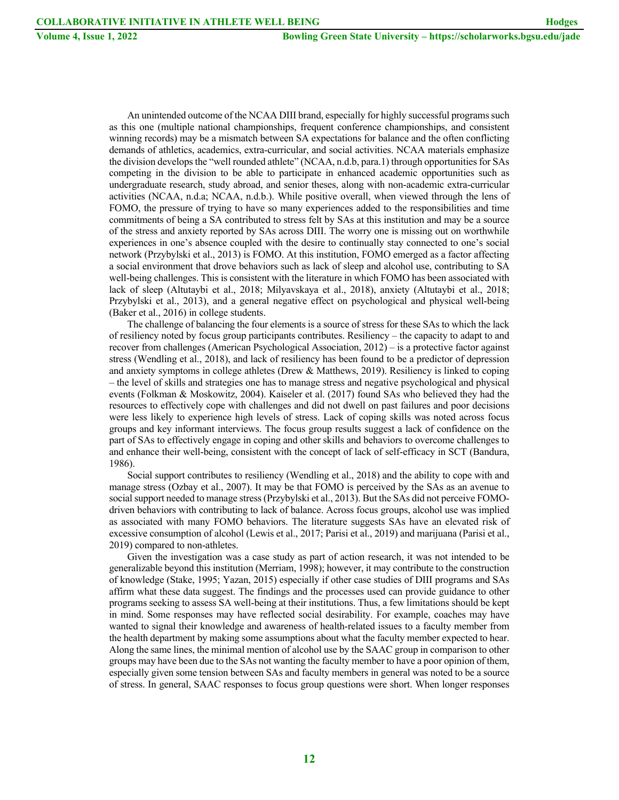An unintended outcome of the NCAA DIII brand, especially for highly successful programs such as this one (multiple national championships, frequent conference championships, and consistent winning records) may be a mismatch between SA expectations for balance and the often conflicting demands of athletics, academics, extra-curricular, and social activities. NCAA materials emphasize the division develops the "well rounded athlete" (NCAA, n.d.b, para.1) through opportunities for SAs competing in the division to be able to participate in enhanced academic opportunities such as undergraduate research, study abroad, and senior theses, along with non-academic extra-curricular activities (NCAA, n.d.a; NCAA, n.d.b.). While positive overall, when viewed through the lens of FOMO, the pressure of trying to have so many experiences added to the responsibilities and time commitments of being a SA contributed to stress felt by SAs at this institution and may be a source of the stress and anxiety reported by SAs across DIII. The worry one is missing out on worthwhile experiences in one's absence coupled with the desire to continually stay connected to one's social network (Przybylski et al., 2013) is FOMO. At this institution, FOMO emerged as a factor affecting a social environment that drove behaviors such as lack of sleep and alcohol use, contributing to SA well-being challenges. This is consistent with the literature in which FOMO has been associated with lack of sleep (Altutaybi et al., 2018; Milyavskaya et al., 2018), anxiety (Altutaybi et al., 2018; Przybylski et al., 2013), and a general negative effect on psychological and physical well-being (Baker et al., 2016) in college students.

The challenge of balancing the four elements is a source of stress for these SAs to which the lack of resiliency noted by focus group participants contributes. Resiliency – the capacity to adapt to and recover from challenges (American Psychological Association, 2012) – is a protective factor against stress (Wendling et al., 2018), and lack of resiliency has been found to be a predictor of depression and anxiety symptoms in college athletes (Drew & Matthews, 2019). Resiliency is linked to coping – the level of skills and strategies one has to manage stress and negative psychological and physical events (Folkman & Moskowitz, 2004). Kaiseler et al. (2017) found SAs who believed they had the resources to effectively cope with challenges and did not dwell on past failures and poor decisions were less likely to experience high levels of stress. Lack of coping skills was noted across focus groups and key informant interviews. The focus group results suggest a lack of confidence on the part of SAs to effectively engage in coping and other skills and behaviors to overcome challenges to and enhance their well-being, consistent with the concept of lack of self-efficacy in SCT (Bandura, 1986).

Social support contributes to resiliency (Wendling et al., 2018) and the ability to cope with and manage stress (Ozbay et al., 2007). It may be that FOMO is perceived by the SAs as an avenue to social support needed to manage stress (Przybylski et al., 2013). But the SAs did not perceive FOMOdriven behaviors with contributing to lack of balance. Across focus groups, alcohol use was implied as associated with many FOMO behaviors. The literature suggests SAs have an elevated risk of excessive consumption of alcohol (Lewis et al., 2017; Parisi et al., 2019) and marijuana (Parisi et al., 2019) compared to non-athletes.

Given the investigation was a case study as part of action research, it was not intended to be generalizable beyond this institution (Merriam, 1998); however, it may contribute to the construction of knowledge (Stake, 1995; Yazan, 2015) especially if other case studies of DIII programs and SAs affirm what these data suggest. The findings and the processes used can provide guidance to other programs seeking to assess SA well-being at their institutions. Thus, a few limitations should be kept in mind. Some responses may have reflected social desirability. For example, coaches may have wanted to signal their knowledge and awareness of health-related issues to a faculty member from the health department by making some assumptions about what the faculty member expected to hear. Along the same lines, the minimal mention of alcohol use by the SAAC group in comparison to other groups may have been due to the SAs not wanting the faculty member to have a poor opinion of them, especially given some tension between SAs and faculty members in general was noted to be a source of stress. In general, SAAC responses to focus group questions were short. When longer responses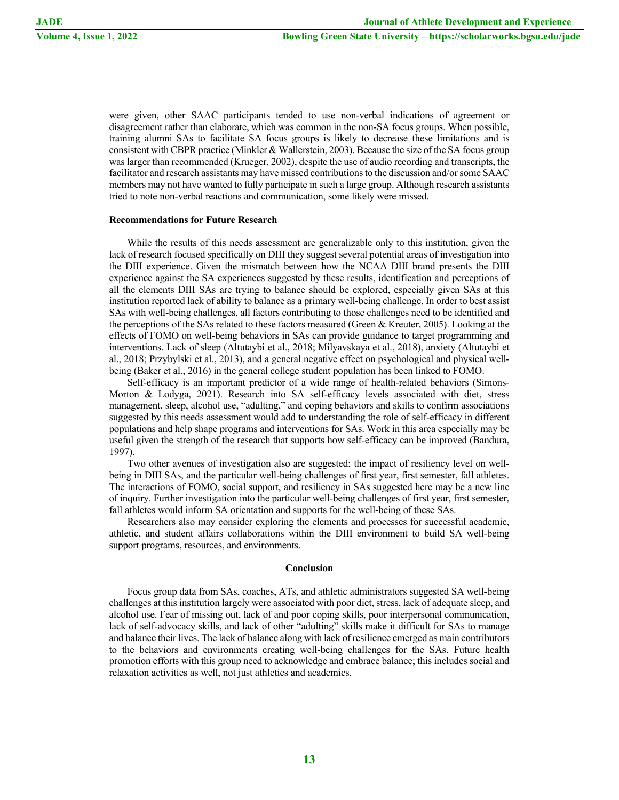were given, other SAAC participants tended to use non-verbal indications of agreement or disagreement rather than elaborate, which was common in the non-SA focus groups. When possible, training alumni SAs to facilitate SA focus groups is likely to decrease these limitations and is consistent with CBPR practice (Minkler & Wallerstein, 2003). Because the size of the SA focus group was larger than recommended (Krueger, 2002), despite the use of audio recording and transcripts, the facilitator and research assistants may have missed contributions to the discussion and/or some SAAC members may not have wanted to fully participate in such a large group. Although research assistants tried to note non-verbal reactions and communication, some likely were missed.

## **Recommendations for Future Research**

While the results of this needs assessment are generalizable only to this institution, given the lack of research focused specifically on DIII they suggest several potential areas of investigation into the DIII experience. Given the mismatch between how the NCAA DIII brand presents the DIII experience against the SA experiences suggested by these results, identification and perceptions of all the elements DIII SAs are trying to balance should be explored, especially given SAs at this institution reported lack of ability to balance as a primary well-being challenge. In order to best assist SAs with well-being challenges, all factors contributing to those challenges need to be identified and the perceptions of the SAs related to these factors measured (Green & Kreuter, 2005). Looking at the effects of FOMO on well-being behaviors in SAs can provide guidance to target programming and interventions. Lack of sleep (Altutaybi et al., 2018; Milyavskaya et al., 2018), anxiety (Altutaybi et al., 2018; Przybylski et al., 2013), and a general negative effect on psychological and physical wellbeing (Baker et al., 2016) in the general college student population has been linked to FOMO.

Self-efficacy is an important predictor of a wide range of health-related behaviors (Simons-Morton & Lodyga, 2021). Research into SA self-efficacy levels associated with diet, stress management, sleep, alcohol use, "adulting," and coping behaviors and skills to confirm associations suggested by this needs assessment would add to understanding the role of self-efficacy in different populations and help shape programs and interventions for SAs. Work in this area especially may be useful given the strength of the research that supports how self-efficacy can be improved (Bandura, 1997).

Two other avenues of investigation also are suggested: the impact of resiliency level on wellbeing in DIII SAs, and the particular well-being challenges of first year, first semester, fall athletes. The interactions of FOMO, social support, and resiliency in SAs suggested here may be a new line of inquiry. Further investigation into the particular well-being challenges of first year, first semester, fall athletes would inform SA orientation and supports for the well-being of these SAs.

Researchers also may consider exploring the elements and processes for successful academic, athletic, and student affairs collaborations within the DIII environment to build SA well-being support programs, resources, and environments.

#### **Conclusion**

Focus group data from SAs, coaches, ATs, and athletic administrators suggested SA well-being challenges at this institution largely were associated with poor diet, stress, lack of adequate sleep, and alcohol use. Fear of missing out, lack of and poor coping skills, poor interpersonal communication, lack of self-advocacy skills, and lack of other "adulting" skills make it difficult for SAs to manage and balance their lives. The lack of balance along with lack of resilience emerged as main contributors to the behaviors and environments creating well-being challenges for the SAs. Future health promotion efforts with this group need to acknowledge and embrace balance; this includes social and relaxation activities as well, not just athletics and academics.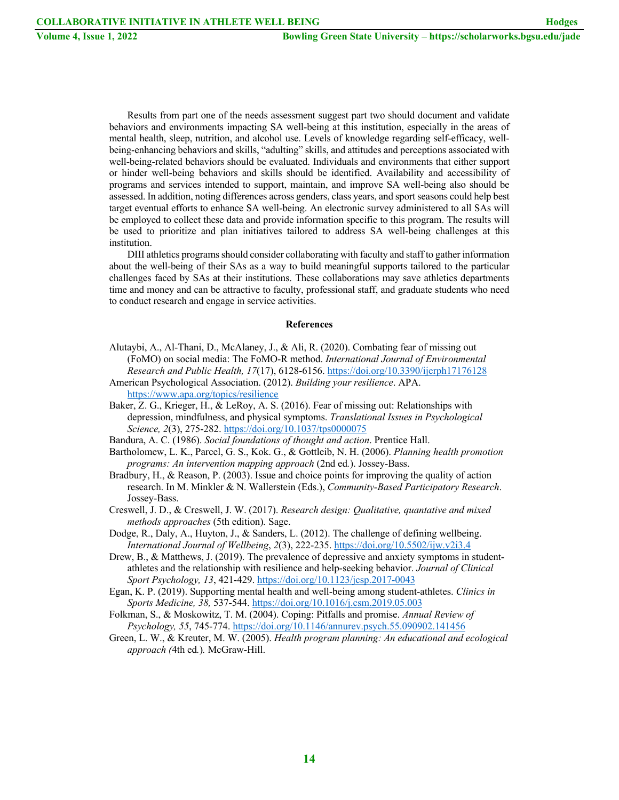Results from part one of the needs assessment suggest part two should document and validate behaviors and environments impacting SA well-being at this institution, especially in the areas of mental health, sleep, nutrition, and alcohol use. Levels of knowledge regarding self-efficacy, wellbeing-enhancing behaviors and skills, "adulting" skills, and attitudes and perceptions associated with well-being-related behaviors should be evaluated. Individuals and environments that either support or hinder well-being behaviors and skills should be identified. Availability and accessibility of programs and services intended to support, maintain, and improve SA well-being also should be assessed. In addition, noting differences across genders, class years, and sport seasons could help best target eventual efforts to enhance SA well-being. An electronic survey administered to all SAs will be employed to collect these data and provide information specific to this program. The results will be used to prioritize and plan initiatives tailored to address SA well-being challenges at this institution.

DIII athletics programs should consider collaborating with faculty and staff to gather information about the well-being of their SAs as a way to build meaningful supports tailored to the particular challenges faced by SAs at their institutions. These collaborations may save athletics departments time and money and can be attractive to faculty, professional staff, and graduate students who need to conduct research and engage in service activities.

#### **References**

- Alutaybi, A., Al-Thani, D., McAlaney, J., & Ali, R. (2020). Combating fear of missing out (FoMO) on social media: The FoMO-R method. *International Journal of Environmental Research and Public Health, 17*(17), 6128-6156. https://doi.org/10.3390/ijerph17176128
- American Psychological Association. (2012). *Building your resilience*. APA. https://www.apa.org/topics/resilience
- Baker, Z. G., Krieger, H., & LeRoy, A. S. (2016). Fear of missing out: Relationships with depression, mindfulness, and physical symptoms. *Translational Issues in Psychological Science, 2*(3), 275-282. https://doi.org/10.1037/tps0000075
- Bandura, A. C. (1986). *Social foundations of thought and action*. Prentice Hall.
- Bartholomew, L. K., Parcel, G. S., Kok. G., & Gottleib, N. H. (2006). *Planning health promotion programs: An intervention mapping approach* (2nd ed*.*). Jossey-Bass.
- Bradbury, H., & Reason, P. (2003). Issue and choice points for improving the quality of action research. In M. Minkler & N. Wallerstein (Eds.), *Community-Based Participatory Research*. Jossey-Bass.
- Creswell, J. D., & Creswell, J. W. (2017). *Research design: Qualitative, quantative and mixed methods approaches* (5th edition)*.* Sage.
- Dodge, R., Daly, A., Huyton, J., & Sanders, L. (2012). The challenge of defining wellbeing. *International Journal of Wellbeing*, *2*(3), 222-235. https://doi.org/10.5502/ijw.v2i3.4
- Drew, B., & Matthews, J. (2019). The prevalence of depressive and anxiety symptoms in studentathletes and the relationship with resilience and help-seeking behavior. *Journal of Clinical Sport Psychology, 13*, 421-429. https://doi.org/10.1123/jcsp.2017-0043
- Egan, K. P. (2019). Supporting mental health and well-being among student-athletes. *Clinics in Sports Medicine, 38,* 537-544. https://doi.org/10.1016/j.csm.2019.05.003
- Folkman, S., & Moskowitz, T. M. (2004). Coping: Pitfalls and promise. *Annual Review of Psychology, 55*, 745-774. https://doi.org/10.1146/annurev.psych.55.090902.141456
- Green, L. W., & Kreuter, M. W. (2005). *Health program planning: An educational and ecological approach (*4th ed*.*)*.* McGraw-Hill.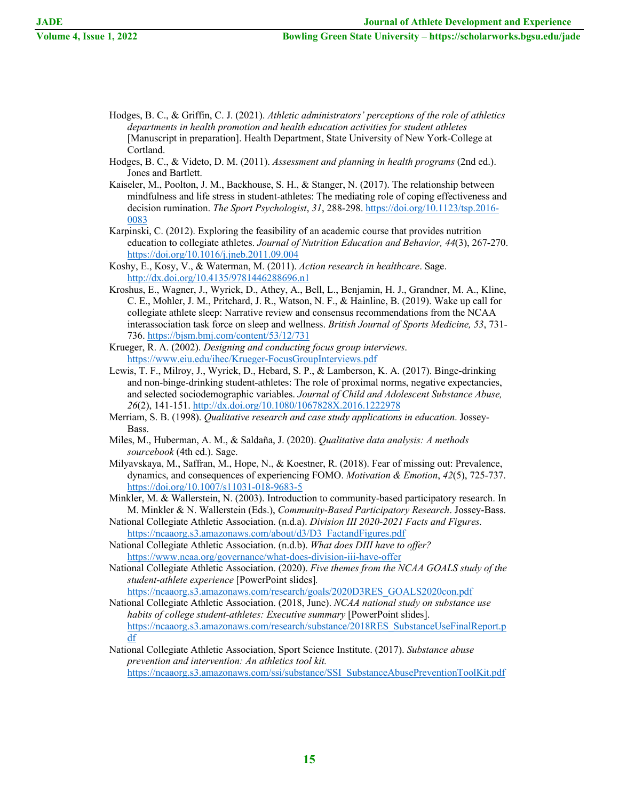- Hodges, B. C., & Griffin, C. J. (2021). *Athletic administrators' perceptions of the role of athletics departments in health promotion and health education activities for student athletes* [Manuscript in preparation]. Health Department, State University of New York-College at Cortland.
- Hodges, B. C., & Videto, D. M. (2011). *Assessment and planning in health programs* (2nd ed.). Jones and Bartlett.
- Kaiseler, M., Poolton, J. M., Backhouse, S. H., & Stanger, N. (2017). The relationship between mindfulness and life stress in student-athletes: The mediating role of coping effectiveness and decision rumination. *The Sport Psychologist*, *31*, 288-298. https://doi.org/10.1123/tsp.2016- 0083
- Karpinski, C. (2012). Exploring the feasibility of an academic course that provides nutrition education to collegiate athletes. *Journal of Nutrition Education and Behavior, 44*(3), 267-270. https://doi.org/10.1016/j.jneb.2011.09.004
- Koshy, E., Kosy, V., & Waterman, M. (2011). *Action research in healthcare*. Sage. http://dx.doi.org/10.4135/9781446288696.n1
- Kroshus, E., Wagner, J., Wyrick, D., Athey, A., Bell, L., Benjamin, H. J., Grandner, M. A., Kline, C. E., Mohler, J. M., Pritchard, J. R., Watson, N. F., & Hainline, B. (2019). Wake up call for collegiate athlete sleep: Narrative review and consensus recommendations from the NCAA interassociation task force on sleep and wellness. *British Journal of Sports Medicine, 53*, 731- 736. https://bjsm.bmj.com/content/53/12/731
- Krueger, R. A. (2002). *Designing and conducting focus group interviews*. https://www.eiu.edu/ihec/Krueger-FocusGroupInterviews.pdf
- Lewis, T. F., Milroy, J., Wyrick, D., Hebard, S. P., & Lamberson, K. A. (2017). Binge-drinking and non-binge-drinking student-athletes: The role of proximal norms, negative expectancies, and selected sociodemographic variables. *Journal of Child and Adolescent Substance Abuse, 26*(2), 141-151. http://dx.doi.org/10.1080/1067828X.2016.1222978
- Merriam, S. B. (1998). *Qualitative research and case study applications in education*. Jossey-Bass.
- Miles, M., Huberman, A. M., & Saldaña, J. (2020). *Qualitative data analysis: A methods sourcebook* (4th ed.). Sage.
- Milyavskaya, M., Saffran, M., Hope, N., & Koestner, R. (2018). Fear of missing out: Prevalence, dynamics, and consequences of experiencing FOMO. *Motivation & Emotion*, *42*(5), 725-737. https://doi.org/10.1007/s11031-018-9683-5
- Minkler, M. & Wallerstein, N. (2003). Introduction to community-based participatory research. In M. Minkler & N. Wallerstein (Eds.), *Community-Based Participatory Research*. Jossey-Bass.
- National Collegiate Athletic Association. (n.d.a). *Division III 2020-2021 Facts and Figures.* https://ncaaorg.s3.amazonaws.com/about/d3/D3\_FactandFigures.pdf
- National Collegiate Athletic Association. (n.d.b). *What does DIII have to offer?* https://www.ncaa.org/governance/what-does-division-iii-have-offer
- National Collegiate Athletic Association. (2020). *Five themes from the NCAA GOALS study of the student-athlete experience* [PowerPoint slides]*.* https://ncaaorg.s3.amazonaws.com/research/goals/2020D3RES\_GOALS2020con.pdf
- National Collegiate Athletic Association. (2018, June). *NCAA national study on substance use habits of college student-athletes: Executive summary* [PowerPoint slides]. https://ncaaorg.s3.amazonaws.com/research/substance/2018RES\_SubstanceUseFinalReport.p df
- National Collegiate Athletic Association, Sport Science Institute. (2017). *Substance abuse prevention and intervention: An athletics tool kit.* https://ncaaorg.s3.amazonaws.com/ssi/substance/SSI\_SubstanceAbusePreventionToolKit.pdf